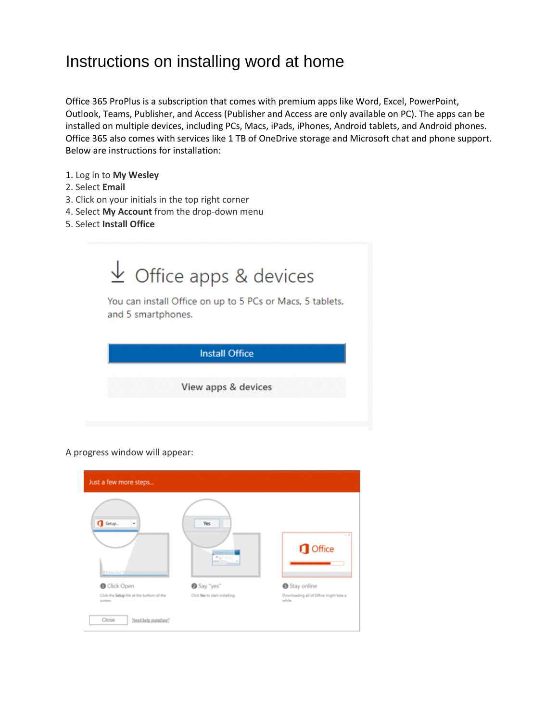## Instructions on installing word at home

Office 365 ProPlus is a subscription that comes with premium apps like Word, Excel, PowerPoint, Outlook, Teams, Publisher, and Access (Publisher and Access are only available on PC). The apps can be installed on multiple devices, including PCs, Macs, iPads, iPhones, Android tablets, and Android phones. Office 365 also comes with services like 1 TB of OneDrive storage and Microsoft chat and phone support. Below are instructions for installation:

- 1. Log in to **My Wesley**
- 2. Select **Email**
- 3. Click on your initials in the top right corner
- 4. Select **My Account** from the drop-down menu
- 5. Select **Install Office**



## A progress window will appear:

| $Setup$ .<br>٠<br><b>A moderation</b>     | Yes<br>事業不良会<br><b>STATE COLLECTION</b> | $-2$<br><b>I</b> Office                |
|-------------------------------------------|-----------------------------------------|----------------------------------------|
| <b>O</b> Click Open                       | Say "yes"                               | Stay online                            |
| Click the Setup file at the bottom of the | Click Wes to start installing.          | Downloading all of Office might take a |